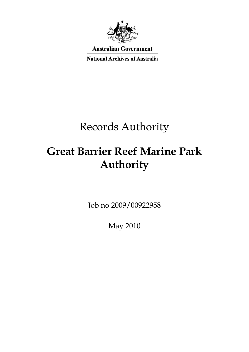

**Australian Government** 

**National Archives of Australia** 

# Records Authority

# **Great Barrier Reef Marine Park Authority**

Job no 2009/00922958

May 2010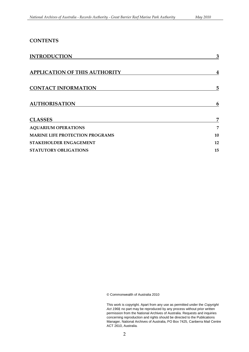### **CONTENTS**

| <b>INTRODUCTION</b>                    | 3  |
|----------------------------------------|----|
| <b>APPLICATION OF THIS AUTHORITY</b>   | 4  |
| <b>CONTACT INFORMATION</b>             | 5  |
| <b>AUTHORISATION</b>                   | 6  |
| <b>CLASSES</b>                         | 7  |
| <b>AQUARIUM OPERATIONS</b>             | 7  |
| <b>MARINE LIFE PROTECTION PROGRAMS</b> | 10 |
| STAKEHOLDER ENGAGEMENT                 | 12 |
| <b>STATUTORY OBLIGATIONS</b>           | 15 |

© Commonwealth of Australia 2010

 This work is copyright. Apart from any use as permitted under the *Copyright Act 1968,* no part may be reproduced by any process without prior written permission from the National Archives of Australia. Requests and inquiries concerning reproduction and rights should be directed to the Publications Manager, National Archives of Australia, PO Box 7425, Canberra Mail Centre ACT 2610, Australia.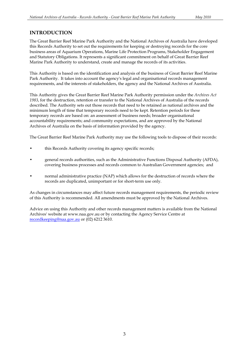### **INTRODUCTION**

 The Great Barrier Reef Marine Park Authority and the National Archives of Australia have developed this Records Authority to set out the requirements for keeping or destroying records for the core business areas of Aquarium Operations, Marine Life Protection Programs, Stakeholder Engagement and Statutory Obligations. It represents a significant commitment on behalf of Great Barrier Reef Marine Park Authority to understand, create and manage the records of its activities.

 This Authority is based on the identification and analysis of the business of Great Barrier Reef Marine requirements, and the interests of stakeholders, the agency and the National Archives of Australia. Park Authority. It takes into account the agency's legal and organisational records management

 This Authority gives the Great Barrier Reef Marine Park Authority permission under the *Archives Act 1983*, for the destruction, retention or transfer to the National Archives of Australia of the records described. The Authority sets out those records that need to be retained as national archives and the minimum length of time that temporary records need to be kept. Retention periods for these temporary records are based on: an assessment of business needs; broader organisational accountability requirements; and community expectations, and are approved by the National Archives of Australia on the basis of information provided by the agency.

The Great Barrier Reef Marine Park Authority may use the following tools to dispose of their records:

- this Records Authority covering its agency specific records;
- general records authorities, such as the Administrative Functions Disposal Authority (AFDA), • general records authorities, such as the Administrative Functions Disposal Authority (AFDA), covering business processes and records common to Australian Government agencies; and
- normal administrative practice (NAP) which allows for the destruction of records where the records are duplicated, unimportant or for short-term use only.

 of this Authority is recommended. All amendments must be approved by the National Archives. As changes in circumstances may affect future records management requirements, the periodic review

 Advice on using this Authority and other records management matters is available from the National Archives' website at www.naa.gov.au or by contacting the Agency Service Centre at [recordkeeping@naa.gov.au](mailto:recordkeeping@naa.gov.au) or (02) 6212 3610.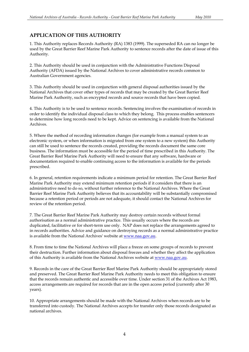### **APPLICATION OF THIS AUTHORITY**

 1. This Authority replaces Records Authority (RA) 1383 (1999). The superseded RA can no longer be used by the Great Barrier Reef Marine Park Authority to sentence records after the date of issue of this Authority.

 2. This Authority should be used in conjunction with the Administrative Functions Disposal Authority (AFDA) issued by the National Archives to cover administrative records common to Australian Government agencies.

 3. This Authority should be used in conjunction with general disposal authorities issued by the National Archives that cover other types of records that may be created by the Great Barrier Reef Marine Park Authority, such as encrypted records and source records that have been copied.

 4. This Authority is to be used to sentence records. Sentencing involves the examination of records in order to identify the individual disposal class to which they belong. This process enables sentencers to determine how long records need to be kept. Advice on sentencing is available from the National Archives.

 5. Where the method of recording information changes (for example from a manual system to an electronic system, or when information is migrated from one system to a new system) this Authority can still be used to sentence the records created, providing the records document the same core business. The information must be accessible for the period of time prescribed in this Authority. The Great Barrier Reef Marine Park Authority will need to ensure that any software, hardware or documentation required to enable continuing access to the information is available for the periods prescribed.

 6. In general, retention requirements indicate a minimum period for retention. The Great Barrier Reef Marine Park Authority may extend minimum retention periods if it considers that there is an administrative need to do so, without further reference to the National Archives. Where the Great Barrier Reef Marine Park Authority believes that its accountability will be substantially compromised because a retention period or periods are not adequate, it should contact the National Archives for review of the retention period.

 7. The Great Barrier Reef Marine Park Authority may destroy certain records without formal authorisation as a normal administrative practice. This usually occurs where the records are duplicated, facilitative or for short-term use only. NAP does not replace the arrangements agreed to in records authorities. Advice and guidance on destroying records as a normal administrative practice is available from the National Archives' website a[t www.naa.gov.au.](http://www.naa.gov.au/)

 8. From time to time the National Archives will place a freeze on some groups of records to prevent their destruction. Further information about disposal freezes and whether they affect the application of this Authority is available from the National Archives website at <u>www.naa.gov.au</u>.

 9. Records in the care of the Great Barrier Reef Marine Park Authority should be appropriately stored and preserved. The Great Barrier Reef Marine Park Authority needs to meet this obligation to ensure that the records remain authentic and accessible over time. Under section 31 of the Archives Act 1983, access arrangements are required for records that are in the open access period (currently after 30 years).

years).<br>10. Appropriate arrangements should be made with the National Archives when records are to be transferred into custody. The National Archives accepts for transfer only those records designated as national archives. national archives.<br>  $\hfill 4$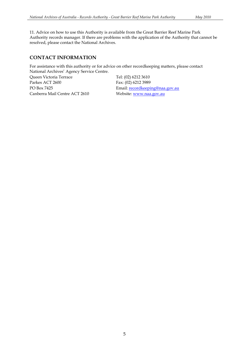11. Advice on how to use this Authority is available from the Great Barrier Reef Marine Park Authority records manager. If there are problems with the application of the Authority that cannot be resolved, please contact the National Archives.

### **CONTACT INFORMATION**

 For assistance with this authority or for advice on other recordkeeping matters, please contact National Archives' Agency Service Centre.

 Queen Victoria Terrace Tel: (02) 6212 3610 Parkes ACT 2600 PO Box 7425 Canberra Mail Centre ACT 2610 Website: <u>www.naa.gov.au</u>

Fax: (02) 6212 3989 Email: recordkeeping@naa.gov.au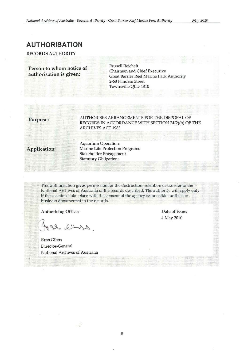### **AUTHORISATION**

RECORDS AUTHORITY

**Person to whom notice of Executive Chairman and Chief Executive authorisation is given:** Great Barrier Reef Marine Park Authority 2-68 Flinders Street Townsville QLD 4810

**Purpose:** AUTHORISES ARRANGEMENTS FOR THE DISPOSAL OF RECORDS IN ACCORDANCE WITH SECTION 24(2)(b) OF THE ARCHIVES ACT 1983

Aquarium Operations Application: Marine Life Protection Programs Stakeholder Engagement Statutory Obligations

> This authorisation gives permission for the destruction, retention or transfer to the National Archives of Australia of the records described. The authority will apply only if these actions take place with the consent of the agency responsible for the core business documented in the records.

Authorising Officer **Contact Contact Contact Contact Contact Contact Contact Contact Contact Contact Contact Contact Contact Contact Contact Contact Contact Contact Contact Contact Contact Contact Contact Contact Contact C** 

Shrill de

Ross Gibbs Director-General National Archives of Australia

4 May 2010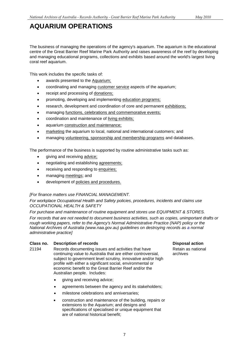### <span id="page-6-0"></span>**AQUARIUM OPERATIONS**

 centre of the Great Barrier Reef Marine Park Authority and raises awareness of the reef by developing The business of managing the operations of the agency's aquarium. The aquarium is the educational and managing educational programs, collections and exhibits based around the world's largest living coral reef aquarium.

This work includes the specific tasks of:

- awards presented to the **Aquarium**;
- coordinating and managing customer service aspects of the aquarium;
- receipt and processing of donations;
- promoting, developing and implementing education programs;
- research, development and coordination of core and permanent exhibitions;
- managing functions, celebrations and commemorative events;
- coordination and maintenance of living exhibits;
- aquarium construction and maintenance;
- marketing the aquarium to local, national and international customers; and
- managing volunteering, sponsorship and membership programs and databases.

The performance of the business is supported by routine administrative tasks such as:

- giving and receiving advice;
- negotiating and establishing agreements;
- **•** receiving and responding to enquiries;
- managing meetings; and
- development of policies and procedures.

### *[For finance matters use FINANCIAL MANAGEMENT.*

 *OCCUPATIONAL HEALTH & SAFETY For workplace Occupational Health and Safety policies, procedures, incidents and claims use* 

 *For purchase and maintenance of routine equipment and stores use EQUIPMENT & STORES.* 

 *National Archives of Australia (www.naa.gov.au) guidelines on destroying records as a normal For records that are not needed to document business activities, such as copies, unimportant drafts or rough working papers, refer to the Agency's Normal Administrative Practice (NAP) policy or the administrative practice]* 

#### **Class no. Description of records Disposal action Action Action Action Action Action Action Action Action Action**

- continuing value to Australia that are either controversial, archives 21194 Records documenting issues and activities that have Retain as<br>continuing value to Australia that are either controversial. archives subject to government level scrutiny, innovative and/or high profile with either a significant social, environmental or economic benefit to the Great Barrier Reef and/or the Australian people. Includes:
	- giving and receiving advice;
	- agreements between the agency and its stakeholders;
	- milestone celebrations and anniversaries;
	- are of national historical benefit; construction and maintenance of the building, repairs or extensions to the Aquarium; and designs and specifications of specialised or unique equipment that

Retain as national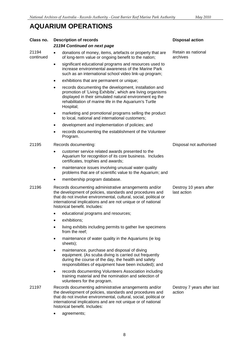### **AQUARIUM OPERATIONS**

| Class no.          | <b>Description of records</b><br>21194 Continued on next page                                                                                                                                                                                                                             |                                                                                                                                                                                                                                                                                           | <b>Disposal action</b>                |  |
|--------------------|-------------------------------------------------------------------------------------------------------------------------------------------------------------------------------------------------------------------------------------------------------------------------------------------|-------------------------------------------------------------------------------------------------------------------------------------------------------------------------------------------------------------------------------------------------------------------------------------------|---------------------------------------|--|
| 21194<br>continued | $\bullet$                                                                                                                                                                                                                                                                                 | donations of money, items, artefacts or property that are<br>of long-term value or ongoing benefit to the nation;                                                                                                                                                                         | Retain as national<br>archives        |  |
|                    | $\bullet$                                                                                                                                                                                                                                                                                 | significant educational programs and resources used to<br>increase environmental awareness of the Marine Park<br>such as an international school video link-up program;                                                                                                                   |                                       |  |
|                    | ٠                                                                                                                                                                                                                                                                                         | exhibitions that are permanent or unique;                                                                                                                                                                                                                                                 |                                       |  |
|                    | $\bullet$                                                                                                                                                                                                                                                                                 | records documenting the development, installation and<br>promotion of 'Living Exhibits', which are living organisms<br>displayed in their simulated natural environment eg the<br>rehabilitation of marine life in the Aquarium's Turtle<br>Hospital;                                     |                                       |  |
|                    | ٠                                                                                                                                                                                                                                                                                         | marketing and promotional programs selling the product<br>to local, national and international customers;                                                                                                                                                                                 |                                       |  |
|                    | ٠                                                                                                                                                                                                                                                                                         | development and implementation of policies; and                                                                                                                                                                                                                                           |                                       |  |
|                    |                                                                                                                                                                                                                                                                                           | records documenting the establishment of the Volunteer<br>Program.                                                                                                                                                                                                                        |                                       |  |
| 21195              | Records documenting:                                                                                                                                                                                                                                                                      |                                                                                                                                                                                                                                                                                           | Disposal not authorised               |  |
|                    | $\bullet$                                                                                                                                                                                                                                                                                 | customer service related awards presented to the<br>Aquarium for recognition of its core business. Includes<br>certificates, trophies and awards;                                                                                                                                         |                                       |  |
|                    | $\bullet$                                                                                                                                                                                                                                                                                 | maintenance issues involving unusual water quality<br>problems that are of scientific value to the Aquarium; and                                                                                                                                                                          |                                       |  |
|                    |                                                                                                                                                                                                                                                                                           | membership program database.                                                                                                                                                                                                                                                              |                                       |  |
| 21196              | Records documenting administrative arrangements and/or<br>the development of policies, standards and procedures and<br>that do not involve environmental, cultural, social, political or<br>international implications and are not unique or of national<br>historical benefit. Includes: |                                                                                                                                                                                                                                                                                           | Destroy 10 years after<br>last action |  |
|                    |                                                                                                                                                                                                                                                                                           | educational programs and resources;                                                                                                                                                                                                                                                       |                                       |  |
|                    |                                                                                                                                                                                                                                                                                           | exhibitions;                                                                                                                                                                                                                                                                              |                                       |  |
|                    |                                                                                                                                                                                                                                                                                           | living exhibits including permits to gather live specimens<br>from the reef;                                                                                                                                                                                                              |                                       |  |
|                    |                                                                                                                                                                                                                                                                                           | maintenance of water quality in the Aquariums (ie log<br>sheets);                                                                                                                                                                                                                         |                                       |  |
|                    |                                                                                                                                                                                                                                                                                           | maintenance, purchase and disposal of diving<br>equipment. (As scuba diving is carried out frequently<br>during the course of the day, the health and safety<br>responsibilities of equipment have been included); and                                                                    |                                       |  |
|                    | ٠                                                                                                                                                                                                                                                                                         | records documenting Volunteers Association including<br>training material and the nomination and selection of<br>volunteers for the program.                                                                                                                                              |                                       |  |
| 21197              |                                                                                                                                                                                                                                                                                           | Records documenting administrative arrangements and/or<br>the development of policies, standards and procedures and<br>that do not involve environmental, cultural, social, political or<br>international implications and are not unique or of national<br>historical benefit. Includes: | Destroy 7 years after last<br>action  |  |
|                    |                                                                                                                                                                                                                                                                                           | agreements;                                                                                                                                                                                                                                                                               |                                       |  |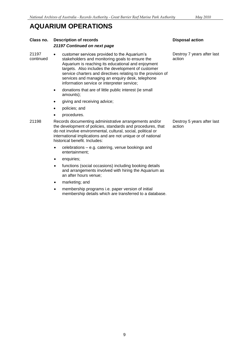### **AQUARIUM OPERATIONS**

### **Class no.** Description of records Disposal action **Disposal action** *21197 Continued on next page*

 services and managing an enquiry desk, telephone 21197 • Customer services provided to the Aquarium's Destroy 7 years after last continued stakeholders and monitoring goals to ensure the action stakeholders and monitoring goals to ensure the Aquarium is reaching its educational and enjoyment targets. Also includes the development of customer service charters and directives relating to the provision of information service or interpreter service;

- donations that are of little public interest (ie small amounts);
- giving and receiving advice;
- policies; and
- procedures.
- 21198 Records documenting administrative arrangements and/or Destroy 5 years after last<br>the development of policies, standards and procedures, that action the development of policies, standards and procedures, that do not involve environmental, cultural, social, political or international implications and are not unique or of national historical benefit. Includes:
	- celebrations e.g. catering, venue bookings and entertainment;
	- enquiries;
	- functions (social occasions) including booking details and arrangements involved with hiring the Aquarium as an after hours venue;
	- marketing; and
	- membership programs i.e. paper version of initial membership details which are transferred to a database.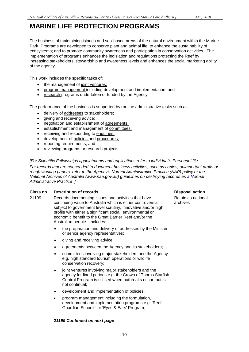### <span id="page-9-0"></span>**MARINE LIFE PROTECTION PROGRAMS**

 The business of maintaining islands and sea-based areas of the natural environment within the Marine Park. Programs are developed to conserve plant and animal life; to enhance the sustainability of increasing stakeholders' stewardship and awareness levels and enhances the social marketing ability ecosystems; and to promote community awareness and participation in conservation activities. The implementation of programs enhances the legislation and regulations protecting the Reef by of the agency.

This work includes the specific tasks of:

- the management of joint ventures;
- program management including development and implementation; and
- research programs undertaken or funded by the Agency.

The performance of the business is supported by routine administrative tasks such as:

- delivery of addresses to stakeholders;
- giving and receiving advice;
- negotiation and establishment of agreements;
- establishment and management of committees;
- receiving and responding to enquiries;
- **•** development of policies and procedures:
- reporting requirements; and
- reviewing programs or research projects.

#### *[For Scientific Fellowships appointments and applications refer to individual's Personnel file.*

 *National Archives of Australia (www.naa.gov.au) guidelines on destroying records as a Normal Administrative Practice ] For records that are not needed to document business activities, such as copies, unimportant drafts or rough working papers, refer to the Agency's Normal Administrative Practice (NAP) policy or the* 

#### **Class no.** Description of records **Disposal action Disposal action**

- continuing value to Australia which is either controversial, archives 21199 Records documenting issues and activities that have subject to government level scrutiny, innovative and/or high profile with either a significant social, environmental or economic benefit to the Great Barrier Reef and/or the Australian people. Includes:
	- the preparation and delivery of addresses by the Minister or senior agency representatives;
	- giving and receiving advice;
	- agreements between the Agency and its stakeholders;
	- committees involving major stakeholders and the Agency e.g. high standard tourism operations or wildlife conservation recovery;
	- Control Program is utilised when outbreaks occur, but is joint ventures involving major stakeholders and the agency for fixed periods e.g. the Crown of Thorns Starfish not continual;
	- development and implementation of policies;
	- program management including the formulation, development and implementation programs e.g. 'Reef Guardian Schools' or 'Eyes & Ears' Program;

#### *21199 Continued on next page*

Retain as national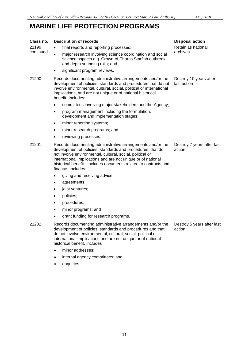## **MARINE LIFE PROTECTION PROGRAMS**

#### Retain as national Destroy 10 years after **Class no. Description of records**  21199 final reports and reporting processes; major research involving science coordination and social science aspects e.g. Crown-of-Thorns Starfish outbreak and depth sounding rolls; and significant program reviews. 21200 Records documenting administrative arrangements and/or the development of policies, standards and procedures that do not involve environmental, cultural, social, political or international implications, and are not unique or of national historical benefit. Includes: committees involving major stakeholders and the Agency; program management including the formulation, development and implementation stages; minor reporting systems; minor research programs; and reviewing processes. 21201 Records documenting administrative arrangements and/or the development of policies, standards and procedures, that do not involve environmental, cultural, social, political or international implications and are not unique or of national historical benefit. Includes documents related to contracts and finance. Includes: giving and receiving advice; agreements; joint ventures; **Disposal action**  archives last action Destroy 7 years after last action

- policies;
- procedures;
- minor programs; and
- grant funding for research programs.
- 21202 Records documenting administrative arrangements and/or the development of policies, standards and procedures and that do not involve environmental, cultural, social, political or international implications and are not unique or of national historical benefit. Includes
	- minor addresses;
	- internal agency committees; and
	- enquiries.

Destroy 5 years after last action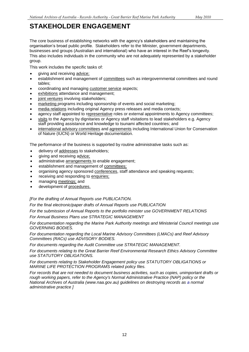## **STAKEHOLDER ENGAGEMENT**

 The core business of establishing networks with the agency's stakeholders and maintaining the organisation's broad public profile. Stakeholders refer to the Minister, government departments, businesses and groups (Australian and international) who have an interest in the Reef's longevity. This also includes individuals in the community who are not adequately represented by a stakeholder

group.<br>This work includes the specific tasks of:

- giving and receiving advice;
- establishment and management of committees such as intergovernmental committees and round tables;
- coordinating and managing customer service aspects;
- exhibitions attendance and management;
- joint ventures involving stakeholders;
- marketing programs including sponsorship of events and social marketing;
- **media relations including original Agency press releases and media contacts;**
- agency staff appointed to representative roles or external appointments to Agency committees;
- visits to the Agency by dignitaries or Agency staff visitations to lead stakeholders e.g. Agency staff providing assistance and knowledge to tsunami affected countries; and
- international advisory committees and agreements including International Union for Conservation of Nature (IUCN) or World Heritage documentation.

The performance of the business is supported by routine administrative tasks such as:

- delivery of addresses to stakeholders;
- giving and receiving advice;
- administrative arrangements to enable engagement;
- establishment and management of committees;
- organising agency sponsored conferences, staff attendance and speaking requests;
- receiving and responding to enquiries;
- managing meetings; and
- development of procedures.

### *[For the drafting of Annual Reports use PUBLICATION.*

*For the final electronic/paper drafts of Annual Reports use PUBLICATION*

 *For the submission of Annual Reports to the portfolio minister use GOVERNMENT RELATIONS*

 *For Annual Business Plans use STRATEGIC MANAGEMENT*

 *For documentation regarding the Marine Park Authority meetings and Ministerial Council meetings use GOVERNING BODIES.*

 *For documentation regarding the Local Marine Advisory Committees (LMACs) and Reef Advisory Committees (RACs) use ADVISORY BODIES.*

*For documents regarding the Audit Committee use STRATEGIC MANAGEMENT.*

*For documents relating to the Great Barrier Reef Environmental Research Ethics Advisory Committee use STATUTORY OBLIGATIONS.*

 *MARINE LIFE PROTECTION PROGRAMS related policy files. For documents relating to Stakeholder Engagement policy use STATUTORY OBLIGATIONS or* 

 *National Archives of Australia (www.naa.gov.au) guidelines on destroying records as a normal For records that are not needed to document business activities, such as copies, unimportant drafts or rough working papers, refer to the Agency's Normal Administrative Practice (NAP) policy or the administrative practice ]*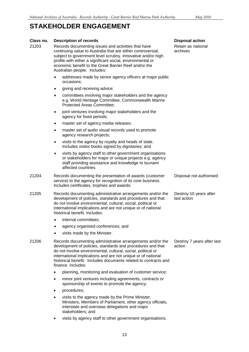### **STAKEHOLDER ENGAGEMENT**

#### **Class no.** Description of records Disposal action **Disposal action**

- continuing value to Australia that are either controversial, archives 21203 Records documenting issues and activities that have Retain as national<br>
continuing value to Australia that are either controversial archives subject to government level scrutiny, innovative and/or high profile with either a significant social, environmental or economic benefit to the Great Barrier Reef and/or the Australian people. Includes:
	- addresses made by senior agency officers at major public occasions;
	- giving and receiving advice;
	- committees involving major stakeholders and the agency e.g. World Heritage Committee, Commonwealth Marine Protected Areas Committee;
	- joint ventures involving major stakeholders and the agency for fixed periods;
	- master set of agency media releases;
	- master set of audio visual records used to promote agency research projects;
	- visits to the agency by royalty and heads of state. Includes visitor books signed by dignitaries; and
	- visits by agency staff to other government organisations or stakeholders for major or unique projects e.g. agency staff providing assistance and knowledge to tsunami affected countries.
- 21204 Records documenting the presentation of awards (customer Disposal not authorised service) to the agency for recognition of its core business. Includes certificates, trophies and awards.
- Destroy 10 years after 21205 Records documenting administrative arrangements and/or the development of policies, standards and procedures and that last action do not involve environmental, cultural, social, political or international implications and are not unique or of national historical benefit. Includes:
	- internal committees;
	- agency organised conferences; and
	- visits made by the Minister.
- 21206 Records documenting administrative arrangements and/or the Destroy 7 years after last development of policies, standards and procedures and that action do not involve environmental, cultural, social, political or international implications and are not unique or of national historical benefit. Includes documents related to contracts and finance. Includes:
	- planning, monitoring and evaluation of customer service;
	- minor joint ventures including agreements, contracts or sponsorship of events to promote the agency;
	- procedures;
	- visits to the agency made by the Prime Minister, Ministers, Members of Parliament, other agency officials, interstate and overseas delegations and major stakeholders; and
	- visits by agency staff to other government organisations.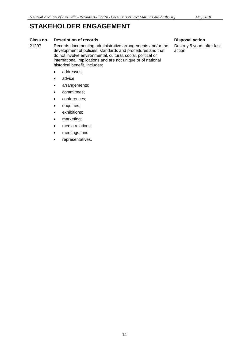## **STAKEHOLDER ENGAGEMENT**

### **Class no.** Description of records Disposal action **Disposal action**

21207 Records documenting administrative arrangements and/or the Destroy 5 years after last development of policies, standards and procedures and that action do not involve environmental, cultural, social, political or international implications and are not unique or of national historical benefit. Includes:

### • addresses:

- advice;
- arrangements;
- committees;
- conferences;
- enquiries;
- exhibitions;
- marketing;
- media relations;
- meetings; and
- representatives.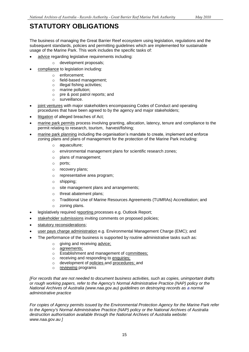## <span id="page-14-0"></span>**STATUTORY OBLIGATIONS**

 subsequent standards, policies and permitting guidelines which are implemented for sustainable The business of managing the Great Barrier Reef ecosystem using legislation, regulations and the usage of the Marine Park. This work includes the specific tasks of:

- advice regarding legislative requirements including:
	- $\circ$  development proposals;
- compliance to legislation including:
	- o enforcement;
	- o field-based management;
	- $\circ$  illegal fishing activities;
	- o marine pollution;
	- $\circ$ pre & post patrol reports; and
	- o surveillance.
- joint ventures with major stakeholders encompassing Codes of Conduct and operating procedures that have been agreed to by the agency and major stakeholders;
- **.** litigation of alleged breaches of Act;
- marine park permits process involving granting, allocation, latency, tenure and compliance to the permit relating to research, tourism, harvest/fishing;
- marine park planning including the organisation's mandate to create, implement and enforce zoning plans and plans of management for the protection of the Marine Park including:
	- o aquaculture;
	- $\circ$  environmental management plans for scientific research zones;
	- $\circ$ plans of management;
	- $\circ$ ports:
	- o recovery plans;
	- o representative area program;
	- $\circ$ shipping;
	- $\circ$  site management plans and arrangements;
	- $\circ$  threat abatement plans;
	- o Traditional Use of Marine Resources Agreements (TUMRAs) Accreditation; and
	- o zoning plans.
- **.** legislatively required reporting processes e.g. Outlook Report;
- stakeholder submissions inviting comments on proposed policies;
- statutory reconsiderations;
- user pays charge administration e.g. Environmental Management Charge (EMC); and
- The performance of the business is supported by routine administrative tasks such as:
	- o giving and receiving advice;
	- o agreements;
	- o Establishment and management of committees;
	- $\circ$  receiving and responding to enquiries;
	- o development of policies and procedures; and
	- o reviewing programs

 *or rough working papers, refer to the Agency's Normal Administrative Practice (NAP) policy or the National Archives of Australia (www.naa.gov.au) guidelines on destroying records as a normal [For records that are not needed to document business activities, such as copies, unimportant drafts administrative practice*

 *For copies of Agency permits issued by the Environmental Protection Agency for the Marine Park refer to the Agency's Normal Administrative Practice (NAP) policy or the National Archives of Australia www.naa.gov.au ] destruction authorisation available through the National Archives of Australia website:*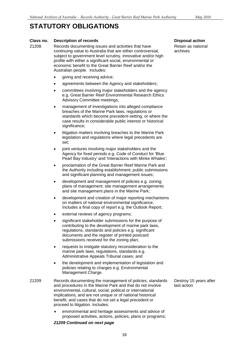## **STATUTORY OBLIGATIONS**

### **Class no.** Description of records Disposal action **Disposal action**

- continuing value to Australia that are either controversial, archives 21208 Records documenting issues and activities that have Retain as national<br>
continuing value to Australia that are either controversial archives subject to government level scrutiny, innovative and/or high profile with either a significant social, environmental or economic benefit to the Great Barrier Reef and/or the Australian people. Includes:
	- giving and receiving advice;
	- agreements between the Agency and stakeholders;
	- committees involving major stakeholders and the agency e.g. Great Barrier Reef Environmental Research Ethics Advisory Committee meetings;
	- management of investigations into alleged compliance breaches of the Marine Park laws, regulations or standards which become precedent-setting, or where the case results in considerable public interest or historical significance;
	- litigation matters involving breaches to the Marine Park legislation and regulations where legal precedents are set;
	- joint ventures involving major stakeholders and the Agency for fixed periods e.g. Code of Conduct for 'Blue Pearl Bay Industry' and 'Interactions with Minke Whales';
	- the Authority including establishment; public submissions proclamation of the Great Barrier Reef Marine Park and and significant planning and management issues;
	- development and management of policies e.g. zoning; plans of management; site management arrangements and site management plans in the Marine Park;
	- development and creation of major reporting mechanisms on matters of national environmental significance. Includes a final copy of report e.g. the Outlook Report;
	- external reviews of agency programs;
	- significant stakeholder submissions for the purpose of contributing to the development of marine park laws, regulations, standards and policies e.g. significant documents and the register of printed postcard submissions received for the zoning plan;
	- requests to instigate statutory reconsideration to the marine park laws, regulations, standards e.g. Administrative Appeals Tribunal cases; and
	- the development and implementation of legislation and policies relating to charges e.g. Environmental Management Charge.
- and procedures in the Marine Park and that do not involve last action 21209 Records documenting the management of policies, standards environmental, cultural, social, political or international implications; and are not unique or of national historical benefit; and cases that do not set a legal precedent or proceed to litigation. Includes:
	- environmental and heritage assessments and advice of proposed activities, actions, policies, plans or programs;

#### *21209 Continued on next page*

Destroy 15 years after